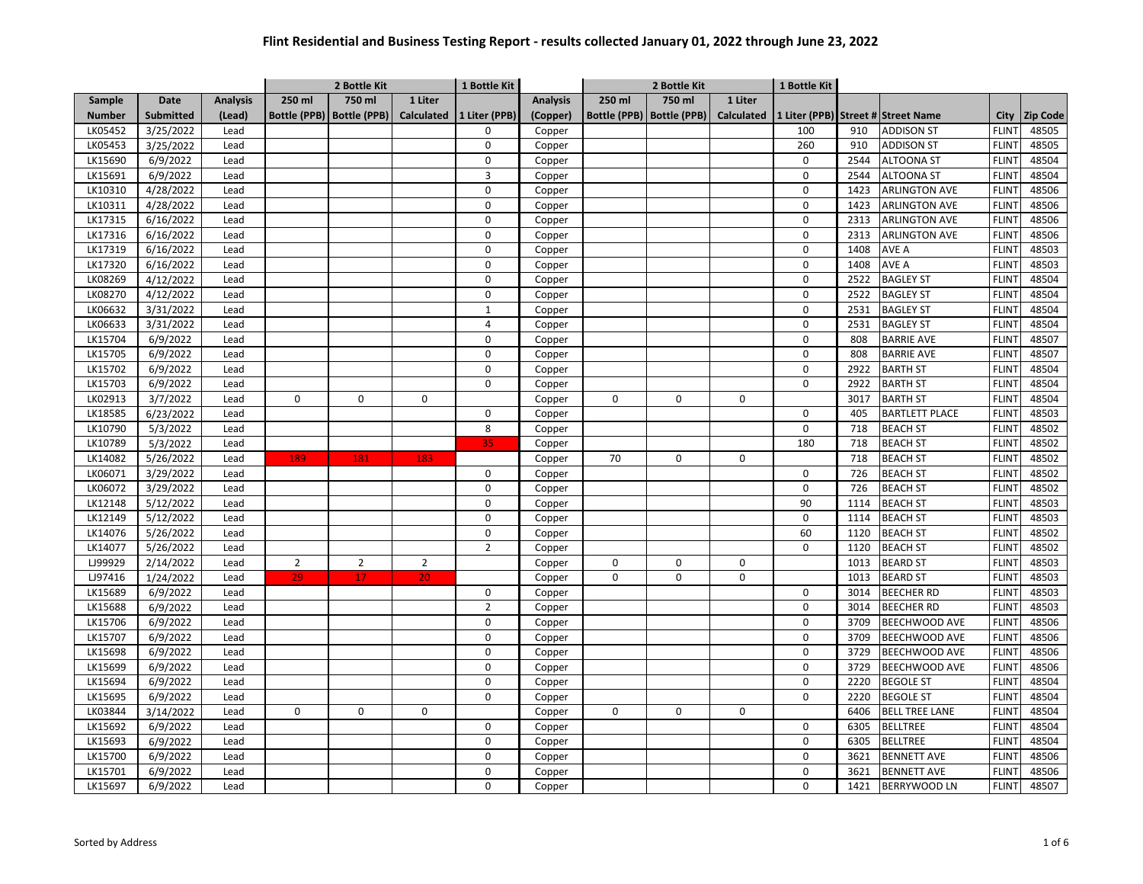|               |                       |                 | 2 Bottle Kit   |                             |                   | 1 Bottle Kit   |                 | 2 Bottle Kit        |              |                   | 1 Bottle Kit |      |                                    |              |                 |
|---------------|-----------------------|-----------------|----------------|-----------------------------|-------------------|----------------|-----------------|---------------------|--------------|-------------------|--------------|------|------------------------------------|--------------|-----------------|
| Sample        | <b>Date</b>           | <b>Analysis</b> | 250 ml         | 750 ml                      | 1 Liter           |                | <b>Analysis</b> | 250 ml              | 750 ml       | 1 Liter           |              |      |                                    |              |                 |
| <b>Number</b> | <b>Submitted</b>      | (Lead)          |                | Bottle (PPB)   Bottle (PPB) | <b>Calculated</b> | 1 Liter (PPB)  | (Copper)        | <b>Bottle (PPB)</b> | Bottle (PPB) | <b>Calculated</b> |              |      | 1 Liter (PPB) Street # Street Name | City         | <b>Zip Code</b> |
| LK05452       | 3/25/2022             | Lead            |                |                             |                   | 0              | Copper          |                     |              |                   | 100          | 910  | <b>ADDISON ST</b>                  | <b>FLINT</b> | 48505           |
| LK05453       | 3/25/2022             | Lead            |                |                             |                   | $\mathsf 0$    | Copper          |                     |              |                   | 260          | 910  | <b>ADDISON ST</b>                  | <b>FLINT</b> | 48505           |
| LK15690       | 6/9/2022              | Lead            |                |                             |                   | 0              | Copper          |                     |              |                   | 0            | 2544 | <b>ALTOONA ST</b>                  | <b>FLINT</b> | 48504           |
| LK15691       | 6/9/2022              | Lead            |                |                             |                   | 3              | Copper          |                     |              |                   | $\mathsf 0$  | 2544 | <b>ALTOONA ST</b>                  | <b>FLINT</b> | 48504           |
| LK10310       | 4/28/2022             | Lead            |                |                             |                   | $\mathbf 0$    | Copper          |                     |              |                   | $\mathsf 0$  | 1423 | <b>ARLINGTON AVE</b>               | <b>FLINT</b> | 48506           |
| LK10311       | 4/28/2022             | Lead            |                |                             |                   | $\mathbf 0$    | Copper          |                     |              |                   | $\mathbf 0$  | 1423 | <b>ARLINGTON AVE</b>               | <b>FLINT</b> | 48506           |
| LK17315       | 6/16/2022             | Lead            |                |                             |                   | $\mathbf 0$    | Copper          |                     |              |                   | $\mathbf 0$  | 2313 | <b>ARLINGTON AVE</b>               | <b>FLINT</b> | 48506           |
| LK17316       | 6/16/2022             | Lead            |                |                             |                   | 0              | Copper          |                     |              |                   | $\mathsf 0$  | 2313 | <b>ARLINGTON AVE</b>               | <b>FLINT</b> | 48506           |
| LK17319       | 6/16/2022             | Lead            |                |                             |                   | $\mathbf 0$    | Copper          |                     |              |                   | $\mathbf 0$  | 1408 | AVE A                              | <b>FLINT</b> | 48503           |
| LK17320       | 6/16/2022             | Lead            |                |                             |                   | $\mathsf 0$    | Copper          |                     |              |                   | $\mathsf 0$  | 1408 | AVE A                              | <b>FLINT</b> | 48503           |
| LK08269       | 4/12/2022             | Lead            |                |                             |                   | $\Omega$       | Copper          |                     |              |                   | $\mathsf 0$  | 2522 | <b>BAGLEY ST</b>                   | <b>FLINT</b> | 48504           |
| LK08270       | $\frac{1}{4}$ 12/2022 | Lead            |                |                             |                   | $\mathbf 0$    | Copper          |                     |              |                   | $\mathsf 0$  | 2522 | <b>BAGLEY ST</b>                   | <b>FLINT</b> | 48504           |
| LK06632       | 3/31/2022             | Lead            |                |                             |                   | $\mathbf{1}$   | Copper          |                     |              |                   | $\mathsf 0$  | 2531 | <b>BAGLEY ST</b>                   | <b>FLINT</b> | 48504           |
| LK06633       | 3/31/2022             | Lead            |                |                             |                   | 4              | Copper          |                     |              |                   | $\mathbf 0$  | 2531 | <b>BAGLEY ST</b>                   | <b>FLINT</b> | 48504           |
| LK15704       | 6/9/2022              | Lead            |                |                             |                   | $\mathbf 0$    | Copper          |                     |              |                   | $\mathbf 0$  | 808  | <b>BARRIE AVE</b>                  | <b>FLINT</b> | 48507           |
| LK15705       | 6/9/2022              | Lead            |                |                             |                   | $\mathbf 0$    | Copper          |                     |              |                   | $\mathbf 0$  | 808  | <b>BARRIE AVE</b>                  | <b>FLINT</b> | 48507           |
| LK15702       | 6/9/2022              | Lead            |                |                             |                   | $\mathbf 0$    | Copper          |                     |              |                   | $\mathbf 0$  | 2922 | <b>BARTH ST</b>                    | <b>FLINT</b> | 48504           |
| LK15703       | 6/9/2022              | Lead            |                |                             |                   | $\mathbf 0$    | Copper          |                     |              |                   | $\mathbf 0$  | 2922 | <b>BARTH ST</b>                    | <b>FLINT</b> | 48504           |
| LK02913       | 3/7/2022              | Lead            | 0              | 0                           | 0                 |                | Copper          | 0                   | $\pmb{0}$    | 0                 |              | 3017 | <b>BARTH ST</b>                    | <b>FLINT</b> | 48504           |
| LK18585       | 6/23/2022             | Lead            |                |                             |                   | $\mathbf 0$    | Copper          |                     |              |                   | $\mathbf 0$  | 405  | <b>BARTLETT PLACE</b>              | <b>FLINT</b> | 48503           |
| LK10790       | 5/3/2022              | Lead            |                |                             |                   | 8              | Copper          |                     |              |                   | $\mathbf 0$  | 718  | <b>BEACH ST</b>                    | <b>FLINT</b> | 48502           |
| LK10789       | 5/3/2022              | Lead            |                |                             |                   | 35             | Copper          |                     |              |                   | 180          | 718  | <b>BEACH ST</b>                    | <b>FLINT</b> | 48502           |
| LK14082       | 5/26/2022             | Lead            | 189            | 181                         | 183               |                | Copper          | 70                  | $\mathbf 0$  | $\mathbf 0$       |              | 718  | <b>BEACH ST</b>                    | <b>FLINT</b> | 48502           |
| LK06071       | 3/29/2022             | Lead            |                |                             |                   | $\mathbf 0$    | Copper          |                     |              |                   | $\mathbf 0$  | 726  | <b>BEACH ST</b>                    | <b>FLINT</b> | 48502           |
| LK06072       | 3/29/2022             | Lead            |                |                             |                   | $\mathbf 0$    | Copper          |                     |              |                   | $\mathbf 0$  | 726  | <b>BEACH ST</b>                    | <b>FLINT</b> | 48502           |
| LK12148       | 5/12/2022             | Lead            |                |                             |                   | $\mathbf 0$    | Copper          |                     |              |                   | 90           | 1114 | <b>BEACH ST</b>                    | <b>FLINT</b> | 48503           |
| LK12149       | 5/12/2022             | Lead            |                |                             |                   | 0              | Copper          |                     |              |                   | $\mathbf 0$  | 1114 | <b>BEACH ST</b>                    | <b>FLINT</b> | 48503           |
| LK14076       | 5/26/2022             | Lead            |                |                             |                   | $\mathbf 0$    | Copper          |                     |              |                   | 60           | 1120 | <b>BEACH ST</b>                    | <b>FLINT</b> | 48502           |
| LK14077       | 5/26/2022             | Lead            |                |                             |                   | $\overline{2}$ | Copper          |                     |              |                   | $\mathbf 0$  | 1120 | <b>BEACH ST</b>                    | <b>FLINT</b> | 48502           |
| LJ99929       | 2/14/2022             | Lead            | $\overline{2}$ | $\overline{2}$              | $\overline{2}$    |                | Copper          | 0                   | $\pmb{0}$    | 0                 |              | 1013 | <b>BEARD ST</b>                    | <b>FLINT</b> | 48503           |
| LJ97416       | 1/24/2022             | Lead            | 29             | 17                          | 20                |                | Copper          | $\Omega$            | $\Omega$     | $\mathbf 0$       |              | 1013 | <b>BEARD ST</b>                    | <b>FLINT</b> | 48503           |
| LK15689       | 6/9/2022              | Lead            |                |                             |                   | $\mathbf 0$    | Copper          |                     |              |                   | $\mathbf 0$  | 3014 | <b>BEECHER RD</b>                  | <b>FLINT</b> | 48503           |
| LK15688       | 6/9/2022              | Lead            |                |                             |                   | $\overline{2}$ | Copper          |                     |              |                   | $\mathbf 0$  | 3014 | <b>BEECHER RD</b>                  | <b>FLINT</b> | 48503           |
| LK15706       | 6/9/2022              | Lead            |                |                             |                   | $\Omega$       | Copper          |                     |              |                   | $\Omega$     | 3709 | BEECHWOOD AVE                      | <b>FLINT</b> | 48506           |
| LK15707       | 6/9/2022              | Lead            |                |                             |                   | $\mathbf 0$    | Copper          |                     |              |                   | $\mathbf 0$  | 3709 | <b>BEECHWOOD AVE</b>               | <b>FLINT</b> | 48506           |
| LK15698       | 6/9/2022              | Lead            |                |                             |                   | $\mathbf 0$    | Copper          |                     |              |                   | $\mathbf 0$  | 3729 | <b>BEECHWOOD AVE</b>               | <b>FLINT</b> | 48506           |
| LK15699       | 6/9/2022              | Lead            |                |                             |                   | 0              | Copper          |                     |              |                   | $\mathbf 0$  | 3729 | BEECHWOOD AVE                      | <b>FLINT</b> | 48506           |
| LK15694       | 6/9/2022              | Lead            |                |                             |                   | $\mathbf 0$    | Copper          |                     |              |                   | $\mathsf 0$  | 2220 | <b>BEGOLE ST</b>                   | <b>FLINT</b> | 48504           |
| LK15695       | 6/9/2022              | Lead            |                |                             |                   | $\mathbf 0$    | Copper          |                     |              |                   | $\mathsf 0$  | 2220 | <b>BEGOLE ST</b>                   | <b>FLINT</b> | 48504           |
| LK03844       | 3/14/2022             | Lead            | 0              | 0                           | 0                 |                | Copper          | 0                   | $\mathbf 0$  | $\mathbf 0$       |              | 6406 | <b>BELL TREE LANE</b>              | <b>FLINT</b> | 48504           |
| LK15692       | 6/9/2022              | Lead            |                |                             |                   | $\mathbf 0$    | Copper          |                     |              |                   | $\mathbf 0$  | 6305 | <b>BELLTREE</b>                    | <b>FLINT</b> | 48504           |
| LK15693       | 6/9/2022              | Lead            |                |                             |                   | $\mathbf 0$    | Copper          |                     |              |                   | $\mathsf 0$  | 6305 | <b>BELLTREE</b>                    | <b>FLINT</b> | 48504           |
| LK15700       | 6/9/2022              | Lead            |                |                             |                   | $\Omega$       | Copper          |                     |              |                   | $\mathbf 0$  | 3621 | <b>BENNETT AVE</b>                 | <b>FLINT</b> | 48506           |
| LK15701       | 6/9/2022              | Lead            |                |                             |                   | $\mathbf 0$    | Copper          |                     |              |                   | $\mathbf 0$  | 3621 | <b>BENNETT AVE</b>                 | <b>FLINT</b> | 48506           |
| LK15697       | 6/9/2022              | Lead            |                |                             |                   | $\Omega$       | Copper          |                     |              |                   | $\mathbf 0$  | 1421 | <b>BERRYWOOD LN</b>                | <b>FLINT</b> | 48507           |
|               |                       |                 |                |                             |                   |                |                 |                     |              |                   |              |      |                                    |              |                 |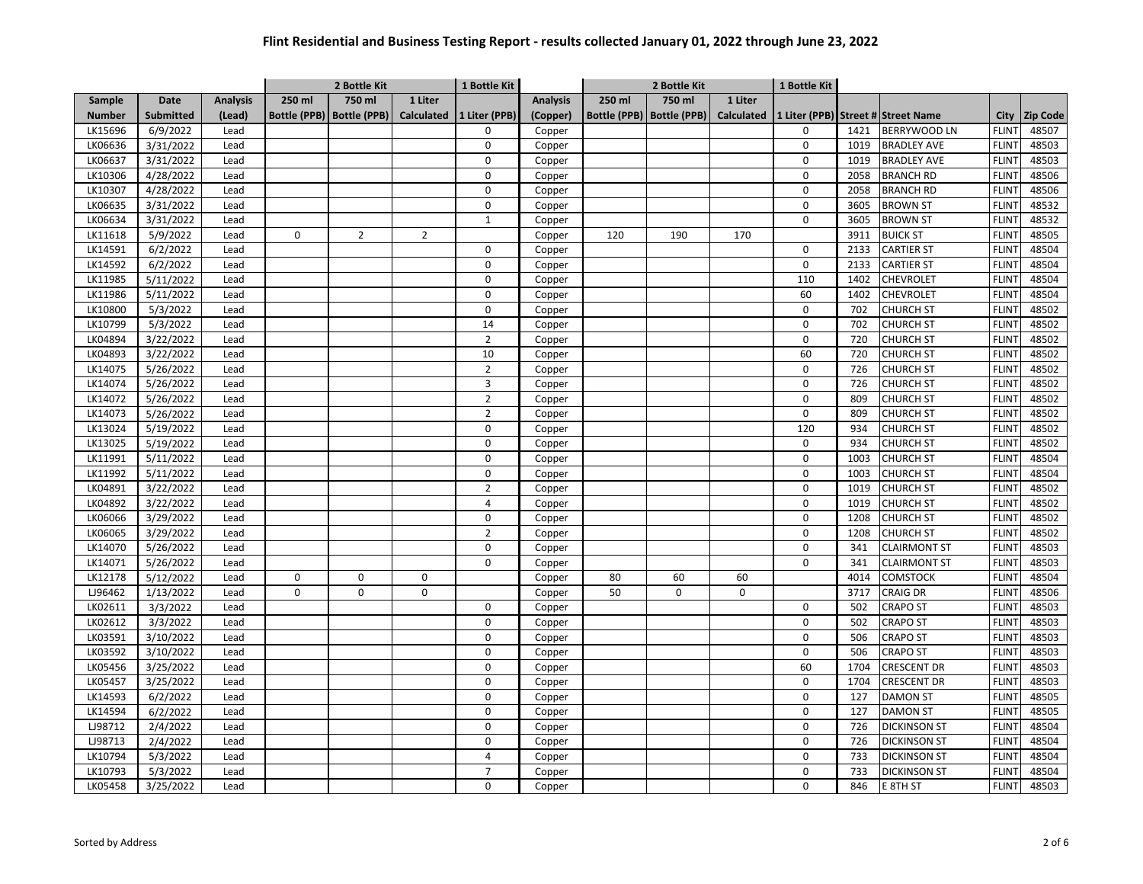|               |                       |                 |             | 1 Bottle Kit<br>2 Bottle Kit |                |                |                 | 2 Bottle Kit        |              |                   | 1 Bottle Kit |      |                                    |              |          |
|---------------|-----------------------|-----------------|-------------|------------------------------|----------------|----------------|-----------------|---------------------|--------------|-------------------|--------------|------|------------------------------------|--------------|----------|
| Sample        | <b>Date</b>           | <b>Analysis</b> | 250 ml      | 750 ml                       | 1 Liter        |                | <b>Analysis</b> | 250 ml              | 750 ml       | 1 Liter           |              |      |                                    |              |          |
| <b>Number</b> | <b>Submitted</b>      | (Lead)          |             | Bottle (PPB)   Bottle (PPB)  | Calculated     | 1 Liter (PPB)  | (Copper)        | <b>Bottle (PPB)</b> | Bottle (PPB) | <b>Calculated</b> |              |      | 1 Liter (PPB) Street # Street Name | <b>City</b>  | Zip Code |
| LK15696       | 6/9/2022              | Lead            |             |                              |                | 0              | Copper          |                     |              |                   | $\mathbf 0$  | 1421 | BERRYWOOD LN                       | <b>FLINT</b> | 48507    |
| LK06636       | 3/31/2022             | Lead            |             |                              |                | $\mathbf 0$    | Copper          |                     |              |                   | $\mathsf 0$  | 1019 | <b>BRADLEY AVE</b>                 | <b>FLINT</b> | 48503    |
| LK06637       | 3/31/2022             | Lead            |             |                              |                | $\mathbf 0$    | Copper          |                     |              |                   | $\mathsf 0$  | 1019 | <b>BRADLEY AVE</b>                 | <b>FLINT</b> | 48503    |
| LK10306       | 4/28/2022             | Lead            |             |                              |                | $\Omega$       | Copper          |                     |              |                   | $\mathbf 0$  | 2058 | <b>BRANCH RD</b>                   | <b>FLINT</b> | 48506    |
| LK10307       | 4/28/2022             | Lead            |             |                              |                | $\mathbf 0$    | Copper          |                     |              |                   | $\mathsf 0$  | 2058 | <b>BRANCH RD</b>                   | <b>FLINT</b> | 48506    |
| LK06635       | 3/31/2022             | Lead            |             |                              |                | $\pmb{0}$      | Copper          |                     |              |                   | $\mathbf 0$  | 3605 | <b>BROWN ST</b>                    | <b>FLINT</b> | 48532    |
| LK06634       | 3/31/2022             | Lead            |             |                              |                | $\mathbf{1}$   | Copper          |                     |              |                   | $\mathbf 0$  | 3605 | <b>BROWN ST</b>                    | <b>FLINT</b> | 48532    |
| LK11618       | 5/9/2022              | Lead            | 0           | $\overline{2}$               | $\overline{2}$ |                | Copper          | 120                 | 190          | 170               |              | 3911 | <b>BUICK ST</b>                    | <b>FLINT</b> | 48505    |
| LK14591       | 6/2/2022              | Lead            |             |                              |                | $\Omega$       | Copper          |                     |              |                   | $\mathbf 0$  | 2133 | <b>CARTIER ST</b>                  | <b>FLINT</b> | 48504    |
| LK14592       | 6/2/2022              | Lead            |             |                              |                | 0              | Copper          |                     |              |                   | $\mathbf 0$  | 2133 | <b>CARTIER ST</b>                  | <b>FLINT</b> | 48504    |
| LK11985       | 5/11/2022             | Lead            |             |                              |                | $\mathbf 0$    | Copper          |                     |              |                   | 110          | 1402 | CHEVROLET                          | <b>FLINT</b> | 48504    |
| LK11986       | 5/11/2022             | Lead            |             |                              |                | 0              | Copper          |                     |              |                   | 60           | 1402 | CHEVROLET                          | <b>FLINT</b> | 48504    |
| LK10800       | 5/3/2022              | Lead            |             |                              |                | $\mathbf 0$    | Copper          |                     |              |                   | $\mathbf 0$  | 702  | <b>CHURCH ST</b>                   | <b>FLINT</b> | 48502    |
| LK10799       | 5/3/2022              | Lead            |             |                              |                | 14             | Copper          |                     |              |                   | $\mathsf 0$  | 702  | <b>CHURCH ST</b>                   | <b>FLINT</b> | 48502    |
| LK04894       | 3/22/2022             | Lead            |             |                              |                | $\overline{2}$ | Copper          |                     |              |                   | $\mathbf 0$  | 720  | <b>CHURCH ST</b>                   | <b>FLINT</b> | 48502    |
| LK04893       | 3/22/2022             | Lead            |             |                              |                | 10             | Copper          |                     |              |                   | 60           | 720  | <b>CHURCH ST</b>                   | <b>FLINT</b> | 48502    |
| LK14075       | 5/26/2022             | Lead            |             |                              |                | $\overline{2}$ | Copper          |                     |              |                   | $\mathbf 0$  | 726  | <b>CHURCH ST</b>                   | <b>FLINT</b> | 48502    |
| LK14074       | 5/26/2022             | Lead            |             |                              |                | 3              | Copper          |                     |              |                   | $\mathbf 0$  | 726  | <b>CHURCH ST</b>                   | <b>FLINT</b> | 48502    |
| LK14072       | 5/26/2022             | Lead            |             |                              |                | $\overline{2}$ | Copper          |                     |              |                   | $\mathsf 0$  | 809  | <b>CHURCH ST</b>                   | <b>FLINT</b> | 48502    |
| LK14073       | 5/26/2022             | Lead            |             |                              |                | $\overline{2}$ | Copper          |                     |              |                   | $\mathbf 0$  | 809  | <b>CHURCH ST</b>                   | <b>FLINT</b> | 48502    |
| LK13024       | 5/19/2022             | Lead            |             |                              |                | $\mathbf 0$    | Copper          |                     |              |                   | 120          | 934  | <b>CHURCH ST</b>                   | <b>FLINT</b> | 48502    |
| LK13025       | 5/19/2022             | Lead            |             |                              |                | $\Omega$       | Copper          |                     |              |                   | $\mathbf 0$  | 934  | <b>CHURCH ST</b>                   | <b>FLINT</b> | 48502    |
| LK11991       | 5/11/2022             | Lead            |             |                              |                | $\mathbf 0$    | Copper          |                     |              |                   | $\mathbf 0$  | 1003 | <b>CHURCH ST</b>                   | <b>FLINT</b> | 48504    |
| LK11992       | 5/11/2022             | Lead            |             |                              |                | $\pmb{0}$      | Copper          |                     |              |                   | $\mathbf 0$  | 1003 | <b>CHURCH ST</b>                   | <b>FLINT</b> | 48504    |
| LK04891       | 3/22/2022             | Lead            |             |                              |                | $\overline{2}$ | Copper          |                     |              |                   | $\mathbf 0$  | 1019 | <b>CHURCH ST</b>                   | <b>FLINT</b> | 48502    |
| LK04892       | $\frac{1}{3}/22/2022$ | Lead            |             |                              |                | $\overline{4}$ | Copper          |                     |              |                   | $\mathbf 0$  | 1019 | <b>CHURCH ST</b>                   | <b>FLINT</b> | 48502    |
| LK06066       | 3/29/2022             | Lead            |             |                              |                | $\mathbf 0$    | Copper          |                     |              |                   | $\mathsf 0$  | 1208 | <b>CHURCH ST</b>                   | <b>FLINT</b> | 48502    |
| LK06065       | 3/29/2022             | Lead            |             |                              |                | $\overline{2}$ | Copper          |                     |              |                   | $\mathbf 0$  | 1208 | <b>CHURCH ST</b>                   | <b>FLINT</b> | 48502    |
| LK14070       | 5/26/2022             | Lead            |             |                              |                | $\mathbf 0$    | Copper          |                     |              |                   | $\mathsf 0$  | 341  | <b>CLAIRMONT ST</b>                | <b>FLINT</b> | 48503    |
| LK14071       | 5/26/2022             | Lead            |             |                              |                | $\Omega$       |                 |                     |              |                   | $\mathbf 0$  | 341  |                                    | <b>FLINT</b> | 48503    |
| LK12178       |                       |                 |             |                              |                |                | Copper          |                     |              |                   |              |      | <b>CLAIRMONT ST</b>                | <b>FLINT</b> |          |
|               | 5/12/2022             | Lead            | 0           | 0                            | 0              |                | Copper          | 80                  | 60           | 60                |              | 4014 | COMSTOCK                           |              | 48504    |
| LJ96462       | 1/13/2022             | Lead            | $\mathbf 0$ | 0                            | 0              |                | Copper          | 50                  | $\mathbf 0$  | 0                 |              | 3717 | <b>CRAIG DR</b>                    | <b>FLINT</b> | 48506    |
| LK02611       | 3/3/2022              | Lead            |             |                              |                | 0              | Copper          |                     |              |                   | $\mathbf 0$  | 502  | <b>CRAPO ST</b>                    | <b>FLINT</b> | 48503    |
| LK02612       | 3/3/2022              | Lead            |             |                              |                | $\mathbf 0$    | Copper          |                     |              |                   | $\mathbf 0$  | 502  | <b>CRAPO ST</b>                    | <b>FLINT</b> | 48503    |
| LK03591       | 3/10/2022             | Lead            |             |                              |                | $\Omega$       | Copper          |                     |              |                   | $\mathbf 0$  | 506  | <b>CRAPO ST</b>                    | <b>FLINT</b> | 48503    |
| LK03592       | 3/10/2022             | Lead            |             |                              |                | $\mathbf 0$    | Copper          |                     |              |                   | $\mathbf 0$  | 506  | <b>CRAPO ST</b>                    | <b>FLINT</b> | 48503    |
| LK05456       | 3/25/2022             | Lead            |             |                              |                | 0              | Copper          |                     |              |                   | 60           | 1704 | <b>CRESCENT DR</b>                 | <b>FLINT</b> | 48503    |
| LK05457       | 3/25/2022             | Lead            |             |                              |                | $\mathbf 0$    | Copper          |                     |              |                   | $\mathbf 0$  | 1704 | <b>CRESCENT DR</b>                 | <b>FLINT</b> | 48503    |
| LK14593       | 6/2/2022              | Lead            |             |                              |                | $\mathbf 0$    | Copper          |                     |              |                   | $\mathsf 0$  | 127  | <b>DAMON ST</b>                    | <b>FLINT</b> | 48505    |
| LK14594       | 6/2/2022              | Lead            |             |                              |                | $\pmb{0}$      | Copper          |                     |              |                   | $\mathbf 0$  | 127  | <b>DAMON ST</b>                    | <b>FLINT</b> | 48505    |
| LJ98712       | 2/4/2022              | Lead            |             |                              |                | $\mathbf 0$    | Copper          |                     |              |                   | $\mathbf 0$  | 726  | <b>DICKINSON ST</b>                | <b>FLINT</b> | 48504    |
| LJ98713       | 2/4/2022              | Lead            |             |                              |                | $\mathbf 0$    | Copper          |                     |              |                   | $\mathsf 0$  | 726  | <b>DICKINSON ST</b>                | <b>FLINT</b> | 48504    |
| LK10794       | 5/3/2022              | Lead            |             |                              |                | $\overline{4}$ | Copper          |                     |              |                   | $\mathbf 0$  | 733  | <b>DICKINSON ST</b>                | <b>FLINT</b> | 48504    |
| LK10793       | 5/3/2022              | Lead            |             |                              |                | $\overline{7}$ | Copper          |                     |              |                   | $\mathbf 0$  | 733  | <b>DICKINSON ST</b>                | <b>FLINT</b> | 48504    |
| LK05458       | 3/25/2022             | Lead            |             |                              |                | $\Omega$       | Copper          |                     |              |                   | $\mathbf 0$  | 846  | E 8TH ST                           | <b>FLINT</b> | 48503    |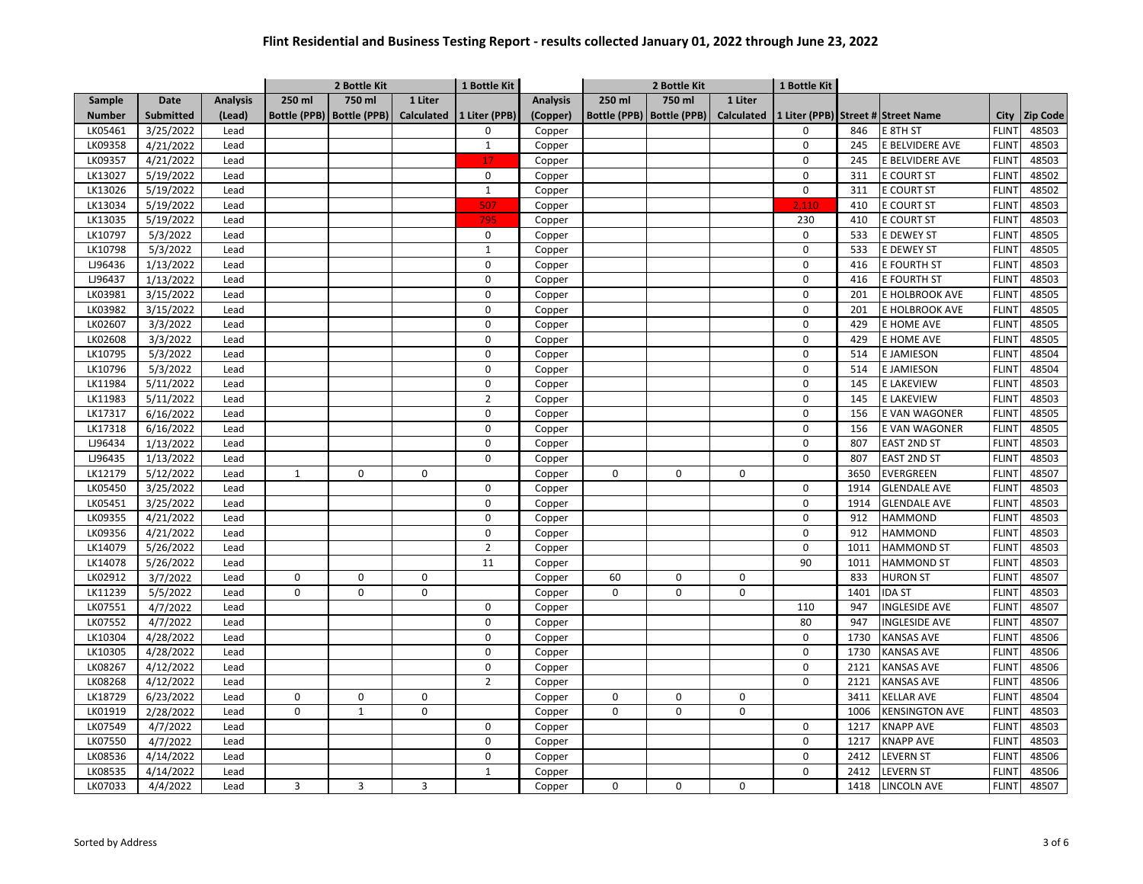|               |                  |                 | 2 Bottle Kit        |                     |            | 1 Bottle Kit   |                 | 2 Bottle Kit        |              |                   | 1 Bottle Kit |      |                                    |              |                 |
|---------------|------------------|-----------------|---------------------|---------------------|------------|----------------|-----------------|---------------------|--------------|-------------------|--------------|------|------------------------------------|--------------|-----------------|
| Sample        | <b>Date</b>      | <b>Analysis</b> | 250 ml              | 750 ml              | 1 Liter    |                | <b>Analysis</b> | 250 ml              | 750 ml       | 1 Liter           |              |      |                                    |              |                 |
| <b>Number</b> | <b>Submitted</b> | (Lead)          | <b>Bottle (PPB)</b> | <b>Bottle (PPB)</b> | Calculated | 1 Liter (PPB)  | (Copper)        | <b>Bottle (PPB)</b> | Bottle (PPB) | <b>Calculated</b> |              |      | 1 Liter (PPB) Street # Street Name | <b>City</b>  | <b>Zip Code</b> |
| LK05461       | 3/25/2022        | Lead            |                     |                     |            | 0              | Copper          |                     |              |                   | $\mathbf 0$  | 846  | E 8TH ST                           | <b>FLINT</b> | 48503           |
| LK09358       | 4/21/2022        | Lead            |                     |                     |            | $\mathbf{1}$   | Copper          |                     |              |                   | $\mathsf 0$  | 245  | E BELVIDERE AVE                    | <b>FLINT</b> | 48503           |
| LK09357       | 4/21/2022        | Lead            |                     |                     |            | 17             | Copper          |                     |              |                   | $\mathsf 0$  | 245  | E BELVIDERE AVE                    | <b>FLINT</b> | 48503           |
| LK13027       | 5/19/2022        | Lead            |                     |                     |            | $\Omega$       | Copper          |                     |              |                   | $\mathbf 0$  | 311  | E COURT ST                         | <b>FLINT</b> | 48502           |
| LK13026       | 5/19/2022        | Lead            |                     |                     |            | $\mathbf{1}$   | Copper          |                     |              |                   | $\mathsf 0$  | 311  | <b>E COURT ST</b>                  | <b>FLINT</b> | 48502           |
| LK13034       | 5/19/2022        | Lead            |                     |                     |            | 507            | Copper          |                     |              |                   | 2,110        | 410  | E COURT ST                         | <b>FLINT</b> | 48503           |
| LK13035       | 5/19/2022        | Lead            |                     |                     |            | 795            | Copper          |                     |              |                   | 230          | 410  | <b>E COURT ST</b>                  | <b>FLINT</b> | 48503           |
| LK10797       | 5/3/2022         | Lead            |                     |                     |            | $\mathbf 0$    | Copper          |                     |              |                   | $\mathsf 0$  | 533  | E DEWEY ST                         | <b>FLINT</b> | 48505           |
| LK10798       | 5/3/2022         | Lead            |                     |                     |            | $\mathbf 1$    | Copper          |                     |              |                   | $\mathbf 0$  | 533  | E DEWEY ST                         | <b>FLINT</b> | 48505           |
| LJ96436       | 1/13/2022        | Lead            |                     |                     |            | 0              | Copper          |                     |              |                   | $\mathsf 0$  | 416  | E FOURTH ST                        | <b>FLINT</b> | 48503           |
| LJ96437       | 1/13/2022        | Lead            |                     |                     |            | $\mathbf 0$    | Copper          |                     |              |                   | $\mathsf 0$  | 416  | E FOURTH ST                        | <b>FLINT</b> | 48503           |
| LK03981       | 3/15/2022        | Lead            |                     |                     |            | $\mathbf 0$    | Copper          |                     |              |                   | $\mathbf 0$  | 201  | E HOLBROOK AVE                     | <b>FLINT</b> | 48505           |
| LK03982       | 3/15/2022        | Lead            |                     |                     |            | $\mathbf 0$    | Copper          |                     |              |                   | $\mathbf 0$  | 201  | E HOLBROOK AVE                     | <b>FLINT</b> | 48505           |
| LK02607       | 3/3/2022         | Lead            |                     |                     |            | $\pmb{0}$      | Copper          |                     |              |                   | $\mathsf 0$  | 429  | E HOME AVE                         | <b>FLINT</b> | 48505           |
| LK02608       | 3/3/2022         | Lead            |                     |                     |            | $\mathbf 0$    | Copper          |                     |              |                   | $\mathbf 0$  | 429  | E HOME AVE                         | <b>FLINT</b> | 48505           |
| LK10795       | 5/3/2022         | Lead            |                     |                     |            | $\mathbf 0$    | Copper          |                     |              |                   | $\mathbf 0$  | 514  | E JAMIESON                         | <b>FLINT</b> | 48504           |
| LK10796       | 5/3/2022         | Lead            |                     |                     |            | $\Omega$       |                 |                     |              |                   | $\mathbf 0$  | 514  |                                    | <b>FLINT</b> | 48504           |
|               |                  |                 |                     |                     |            | $\mathbf 0$    | Copper          |                     |              |                   | $\mathbf 0$  |      | E JAMIESON                         | <b>FLINT</b> | 48503           |
| LK11984       | 5/11/2022        | Lead            |                     |                     |            |                | Copper          |                     |              |                   |              | 145  | E LAKEVIEW                         |              |                 |
| LK11983       | 5/11/2022        | Lead            |                     |                     |            | $\overline{2}$ | Copper          |                     |              |                   | $\mathsf 0$  | 145  | E LAKEVIEW                         | <b>FLINT</b> | 48503           |
| LK17317       | 6/16/2022        | Lead            |                     |                     |            | 0              | Copper          |                     |              |                   | $\mathbf 0$  | 156  | E VAN WAGONER                      | <b>FLINT</b> | 48505           |
| LK17318       | 6/16/2022        | Lead            |                     |                     |            | $\mathbf 0$    | Copper          |                     |              |                   | $\mathsf 0$  | 156  | E VAN WAGONER                      | <b>FLINT</b> | 48505           |
| LJ96434       | 1/13/2022        | Lead            |                     |                     |            | $\Omega$       | Copper          |                     |              |                   | $\mathbf 0$  | 807  | EAST 2ND ST                        | <b>FLINT</b> | 48503           |
| LJ96435       | 1/13/2022        | Lead            |                     |                     |            | $\mathbf 0$    | Copper          |                     |              |                   | $\mathbf 0$  | 807  | EAST 2ND ST                        | <b>FLINT</b> | 48503           |
| LK12179       | 5/12/2022        | Lead            | $\mathbf{1}$        | 0                   | 0          |                | Copper          | 0                   | $\Omega$     | $\mathbf 0$       |              | 3650 | EVERGREEN                          | <b>FLINT</b> | 48507           |
| LK05450       | 3/25/2022        | Lead            |                     |                     |            | $\Omega$       | Copper          |                     |              |                   | $\mathbf 0$  | 1914 | <b>GLENDALE AVE</b>                | <b>FLINT</b> | 48503           |
| LK05451       | 3/25/2022        | Lead            |                     |                     |            | $\mathbf 0$    | Copper          |                     |              |                   | $\mathbf 0$  | 1914 | <b>GLENDALE AVE</b>                | <b>FLINT</b> | 48503           |
| LK09355       | 4/21/2022        | Lead            |                     |                     |            | $\mathbf 0$    | Copper          |                     |              |                   | $\mathsf 0$  | 912  | <b>HAMMOND</b>                     | <b>FLINT</b> | 48503           |
| LK09356       | 4/21/2022        | Lead            |                     |                     |            | 0              | Copper          |                     |              |                   | $\mathbf 0$  | 912  | <b>HAMMOND</b>                     | <b>FLINT</b> | 48503           |
| LK14079       | 5/26/2022        | Lead            |                     |                     |            | $\overline{2}$ | Copper          |                     |              |                   | $\mathsf 0$  | 1011 | <b>HAMMOND ST</b>                  | <b>FLINT</b> | 48503           |
| LK14078       | 5/26/2022        | Lead            |                     |                     |            | 11             | Copper          |                     |              |                   | 90           | 1011 | <b>HAMMOND ST</b>                  | <b>FLINT</b> | 48503           |
| LK02912       | 3/7/2022         | Lead            | 0                   | 0                   | 0          |                | Copper          | 60                  | $\mathbf 0$  | $\mathbf 0$       |              | 833  | <b>HURON ST</b>                    | <b>FLINT</b> | 48507           |
| LK11239       | 5/5/2022         | Lead            | $\mathbf 0$         | 0                   | 0          |                | Copper          | $\mathbf 0$         | $\Omega$     | 0                 |              | 1401 | <b>IDA ST</b>                      | <b>FLINT</b> | 48503           |
| LK07551       | 4/7/2022         | Lead            |                     |                     |            | 0              | Copper          |                     |              |                   | 110          | 947  | <b>INGLESIDE AVE</b>               | <b>FLINT</b> | 48507           |
| LK07552       | 4/7/2022         | Lead            |                     |                     |            | $\mathbf 0$    | Copper          |                     |              |                   | 80           | 947  | <b>INGLESIDE AVE</b>               | <b>FLINT</b> | 48507           |
| LK10304       | 4/28/2022        | Lead            |                     |                     |            | $\Omega$       | Copper          |                     |              |                   | $\mathsf 0$  | 1730 | <b>KANSAS AVE</b>                  | <b>FLINT</b> | 48506           |
| LK10305       | 4/28/2022        | Lead            |                     |                     |            | $\mathbf 0$    | Copper          |                     |              |                   | $\mathbf 0$  | 1730 | <b>KANSAS AVE</b>                  | <b>FLINT</b> | 48506           |
| LK08267       | 4/12/2022        | Lead            |                     |                     |            | 0              | Copper          |                     |              |                   | $\mathsf 0$  | 2121 | <b>KANSAS AVE</b>                  | <b>FLINT</b> | 48506           |
| LK08268       | 4/12/2022        | Lead            |                     |                     |            | $\overline{2}$ | Copper          |                     |              |                   | $\mathbf 0$  | 2121 | <b>KANSAS AVE</b>                  | <b>FLINT</b> | 48506           |
| LK18729       | 6/23/2022        | Lead            | $\mathbf 0$         | 0                   | 0          |                | Copper          | 0                   | $\pmb{0}$    | $\mathbf 0$       |              | 3411 | <b>KELLAR AVE</b>                  | <b>FLINT</b> | 48504           |
| LK01919       | 2/28/2022        | Lead            | 0                   | $\mathbf{1}$        | 0          |                | Copper          | 0                   | $\Omega$     | $\mathbf 0$       |              | 1006 | <b>KENSINGTON AVE</b>              | <b>FLINT</b> | 48503           |
| LK07549       | 4/7/2022         | Lead            |                     |                     |            | $\mathbf 0$    | Copper          |                     |              |                   | $\mathbf 0$  | 1217 | <b>KNAPP AVE</b>                   | <b>FLINT</b> | 48503           |
| LK07550       | 4/7/2022         | Lead            |                     |                     |            | $\mathbf 0$    | Copper          |                     |              |                   | $\mathbf 0$  | 1217 | <b>KNAPP AVE</b>                   | <b>FLINT</b> | 48503           |
| LK08536       | 4/14/2022        | Lead            |                     |                     |            | $\mathbf 0$    | Copper          |                     |              |                   | $\mathbf 0$  | 2412 | <b>LEVERN ST</b>                   | <b>FLINT</b> | 48506           |
| LK08535       | 4/14/2022        | Lead            |                     |                     |            | $\mathbf{1}$   | Copper          |                     |              |                   | $\Omega$     | 2412 | <b>LEVERN ST</b>                   | <b>FLINT</b> | 48506           |
| LK07033       | 4/4/2022         | Lead            | 3                   | 3                   | 3          |                | Copper          | 0                   | $\pmb{0}$    | $\mathbf 0$       |              | 1418 | <b>LINCOLN AVE</b>                 | <b>FLINT</b> | 48507           |
|               |                  |                 |                     |                     |            |                |                 |                     |              |                   |              |      |                                    |              |                 |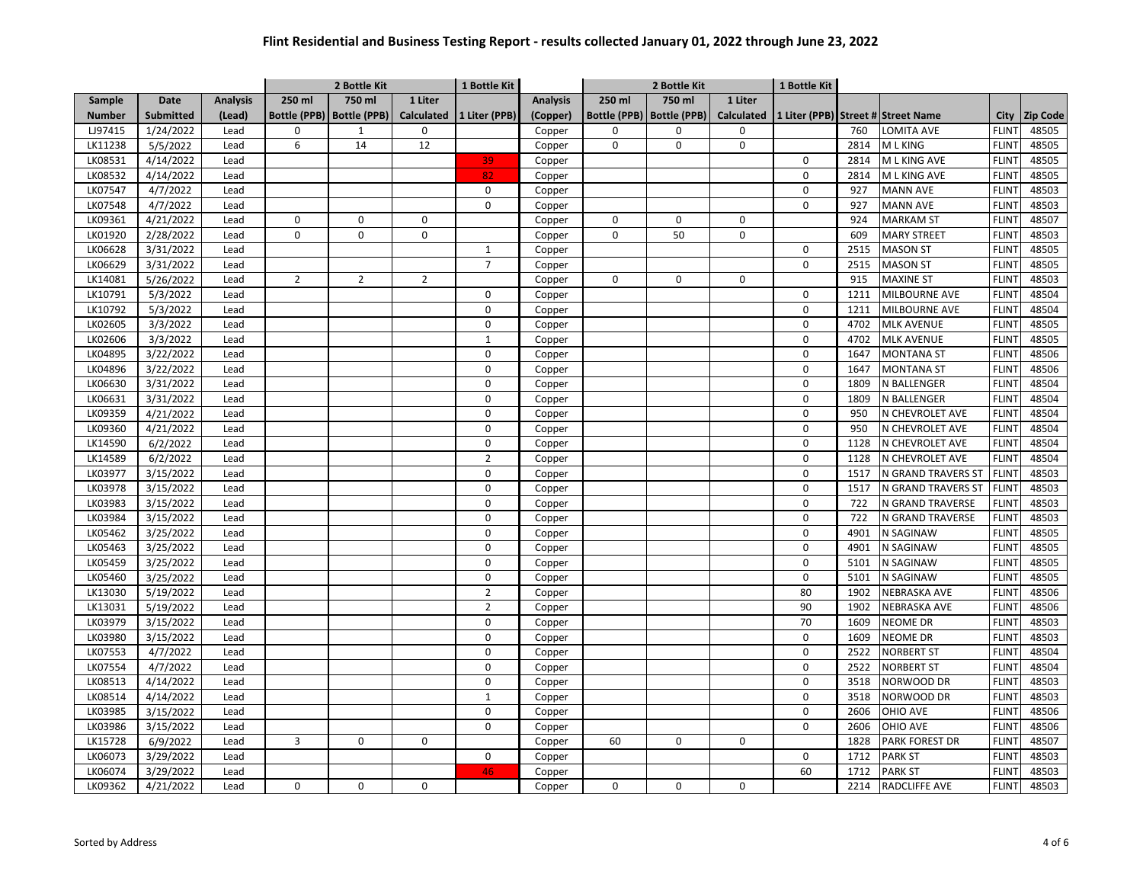|               |                  |                 |                     | 2 Bottle Kit        |                | 1 Bottle Kit   |                 | 2 Bottle Kit        |              |                   | 1 Bottle Kit |      |                                    |              |                 |
|---------------|------------------|-----------------|---------------------|---------------------|----------------|----------------|-----------------|---------------------|--------------|-------------------|--------------|------|------------------------------------|--------------|-----------------|
| Sample        | <b>Date</b>      | <b>Analysis</b> | 250 ml              | 750 ml              | 1 Liter        |                | <b>Analysis</b> | 250 ml              | 750 ml       | 1 Liter           |              |      |                                    |              |                 |
| <b>Number</b> | <b>Submitted</b> | (Lead)          | <b>Bottle (PPB)</b> | <b>Bottle (PPB)</b> | Calculated     | 1 Liter (PPB)  | (Copper)        | <b>Bottle (PPB)</b> | Bottle (PPB) | <b>Calculated</b> |              |      | 1 Liter (PPB) Street # Street Name | <b>City</b>  | <b>Zip Code</b> |
| LJ97415       | 1/24/2022        | Lead            | $\Omega$            | $\mathbf{1}$        | 0              |                | Copper          | $\Omega$            | $\Omega$     | 0                 |              | 760  | LOMITA AVE                         | <b>FLINT</b> | 48505           |
| LK11238       | 5/5/2022         | Lead            | 6                   | 14                  | 12             |                | Copper          | 0                   | $\mathbf 0$  | 0                 |              | 2814 | M L KING                           | <b>FLINT</b> | 48505           |
| LK08531       | 4/14/2022        | Lead            |                     |                     |                | 39             | Copper          |                     |              |                   | 0            | 2814 | M L KING AVE                       | <b>FLINT</b> | 48505           |
| LK08532       | 4/14/2022        | Lead            |                     |                     |                | 82             | Copper          |                     |              |                   | $\mathbf 0$  | 2814 | M L KING AVE                       | <b>FLINT</b> | 48505           |
| LK07547       | 4/7/2022         | Lead            |                     |                     |                | $\mathbf 0$    | Copper          |                     |              |                   | $\mathsf 0$  | 927  | <b>MANN AVE</b>                    | <b>FLINT</b> | 48503           |
| LK07548       | 4/7/2022         | Lead            |                     |                     |                | $\mathbf 0$    | Copper          |                     |              |                   | $\mathbf 0$  | 927  | <b>MANN AVE</b>                    | <b>FLINT</b> | 48503           |
| LK09361       | 4/21/2022        | Lead            | 0                   | 0                   | 0              |                | Copper          | 0                   | $\mathbf 0$  | $\mathbf 0$       |              | 924  | <b>MARKAM ST</b>                   | <b>FLINT</b> | 48507           |
| LK01920       | 2/28/2022        | Lead            | 0                   | 0                   | 0              |                | Copper          | $\mathbf 0$         | 50           | $\mathbf 0$       |              | 609  | <b>MARY STREET</b>                 | <b>FLINT</b> | 48503           |
| LK06628       | 3/31/2022        | Lead            |                     |                     |                | $\mathbf{1}$   | Copper          |                     |              |                   | $\mathsf 0$  | 2515 | <b>MASON ST</b>                    | <b>FLINT</b> | 48505           |
| LK06629       | 3/31/2022        | Lead            |                     |                     |                | $\overline{7}$ | Copper          |                     |              |                   | $\mathbf 0$  | 2515 | <b>MASON ST</b>                    | <b>FLINT</b> | 48505           |
| LK14081       | 5/26/2022        | Lead            | $\overline{2}$      | $\overline{2}$      | $\overline{2}$ |                | Copper          | $\mathbf 0$         | $\mathbf 0$  | $\mathbf 0$       |              | 915  | <b>MAXINE ST</b>                   | <b>FLINT</b> | 48503           |
| LK10791       | 5/3/2022         | Lead            |                     |                     |                | $\mathbf 0$    | Copper          |                     |              |                   | $\mathbf 0$  | 1211 | MILBOURNE AVE                      | <b>FLINT</b> | 48504           |
| LK10792       | 5/3/2022         | Lead            |                     |                     |                | $\mathbf 0$    | Copper          |                     |              |                   | $\mathbf 0$  | 1211 | MILBOURNE AVE                      | <b>FLINT</b> | 48504           |
| LK02605       | 3/3/2022         | Lead            |                     |                     |                | 0              | Copper          |                     |              |                   | $\mathsf 0$  | 4702 | <b>MLK AVENUE</b>                  | <b>FLINT</b> | 48505           |
| LK02606       | 3/3/2022         | Lead            |                     |                     |                | $\mathbf{1}$   | Copper          |                     |              |                   | $\mathbf 0$  | 4702 | <b>MLK AVENUE</b>                  | <b>FLINT</b> | 48505           |
| LK04895       | 3/22/2022        | Lead            |                     |                     |                | $\mathbf 0$    | Copper          |                     |              |                   | $\mathbf 0$  | 1647 | <b>MONTANA ST</b>                  | <b>FLINT</b> | 48506           |
| LK04896       | 3/22/2022        | Lead            |                     |                     |                | $\Omega$       | Copper          |                     |              |                   | $\mathbf 0$  | 1647 | <b>MONTANA ST</b>                  | <b>FLINT</b> | 48506           |
| LK06630       | 3/31/2022        | Lead            |                     |                     |                | $\mathbf 0$    | Copper          |                     |              |                   | $\mathbf 0$  | 1809 | N BALLENGER                        | <b>FLINT</b> | 48504           |
| LK06631       | 3/31/2022        | Lead            |                     |                     |                | 0              | Copper          |                     |              |                   | $\mathsf 0$  | 1809 | N BALLENGER                        | <b>FLINT</b> | 48504           |
| LK09359       | 4/21/2022        | Lead            |                     |                     |                | 0              | Copper          |                     |              |                   | $\mathbf 0$  | 950  | N CHEVROLET AVE                    | <b>FLINT</b> | 48504           |
| LK09360       | 4/21/2022        | Lead            |                     |                     |                | $\mathbf 0$    | Copper          |                     |              |                   | $\mathsf 0$  | 950  | N CHEVROLET AVE                    | <b>FLINT</b> | 48504           |
| LK14590       | 6/2/2022         | Lead            |                     |                     |                | $\Omega$       | Copper          |                     |              |                   | $\mathbf 0$  | 1128 | N CHEVROLET AVE                    | <b>FLINT</b> | 48504           |
| LK14589       | 6/2/2022         | Lead            |                     |                     |                | $\overline{2}$ | Copper          |                     |              |                   | $\mathbf 0$  | 1128 | N CHEVROLET AVE                    | <b>FLINT</b> | 48504           |
| LK03977       | 3/15/2022        | Lead            |                     |                     |                | $\pmb{0}$      | Copper          |                     |              |                   | $\mathbf 0$  | 1517 | N GRAND TRAVERS ST                 | <b>FLINT</b> | 48503           |
| LK03978       | 3/15/2022        | Lead            |                     |                     |                | $\Omega$       | Copper          |                     |              |                   | $\mathbf 0$  | 1517 | N GRAND TRAVERS ST                 | <b>FLINT</b> | 48503           |
| LK03983       | 3/15/2022        | Lead            |                     |                     |                | $\mathbf 0$    | Copper          |                     |              |                   | $\mathbf 0$  | 722  | N GRAND TRAVERSE                   | <b>FLINT</b> | 48503           |
| LK03984       | 3/15/2022        | Lead            |                     |                     |                | $\mathbf 0$    | Copper          |                     |              |                   | $\mathsf 0$  | 722  | N GRAND TRAVERSE                   | <b>FLINT</b> | 48503           |
| LK05462       | 3/25/2022        | Lead            |                     |                     |                | 0              | Copper          |                     |              |                   | $\mathbf 0$  | 4901 | N SAGINAW                          | <b>FLINT</b> | 48505           |
| LK05463       | 3/25/2022        | Lead            |                     |                     |                | $\mathbf 0$    | Copper          |                     |              |                   | 0            | 4901 | N SAGINAW                          | <b>FLINT</b> | 48505           |
| LK05459       | 3/25/2022        | Lead            |                     |                     |                | $\mathbf 0$    | Copper          |                     |              |                   | $\mathbf 0$  | 5101 | N SAGINAW                          | <b>FLINT</b> | 48505           |
| LK05460       | 3/25/2022        | Lead            |                     |                     |                | $\mathbf 0$    | Copper          |                     |              |                   | $\mathbf 0$  | 5101 | N SAGINAW                          | <b>FLINT</b> | 48505           |
| LK13030       | 5/19/2022        | Lead            |                     |                     |                | $\overline{2}$ | Copper          |                     |              |                   | 80           | 1902 | <b>NEBRASKA AVE</b>                | <b>FLINT</b> | 48506           |
| LK13031       | 5/19/2022        | Lead            |                     |                     |                | $\overline{2}$ | Copper          |                     |              |                   | 90           | 1902 | <b>NEBRASKA AVE</b>                | <b>FLINT</b> | 48506           |
| LK03979       | 3/15/2022        | Lead            |                     |                     |                | $\mathbf 0$    | Copper          |                     |              |                   | 70           | 1609 | <b>NEOME DR</b>                    | <b>FLINT</b> | 48503           |
| LK03980       | 3/15/2022        | Lead            |                     |                     |                | $\Omega$       | Copper          |                     |              |                   | $\mathsf 0$  | 1609 | NEOME DR                           | <b>FLINT</b> | 48503           |
| LK07553       | 4/7/2022         | Lead            |                     |                     |                | $\mathbf 0$    |                 |                     |              |                   | $\mathbf 0$  | 2522 | <b>NORBERT ST</b>                  | <b>FLINT</b> | 48504           |
| LK07554       | 4/7/2022         | Lead            |                     |                     |                | 0              | Copper          |                     |              |                   | 0            | 2522 | <b>NORBERT ST</b>                  | <b>FLINT</b> | 48504           |
|               |                  |                 |                     |                     |                | $\mathbf 0$    | Copper          |                     |              |                   | $\mathbf 0$  | 3518 |                                    |              | 48503           |
| LK08513       | 4/14/2022        | Lead            |                     |                     |                | $\mathbf{1}$   | Copper          |                     |              |                   |              | 3518 | NORWOOD DR                         | <b>FLINT</b> |                 |
| LK08514       | 4/14/2022        | Lead            |                     |                     |                |                | Copper          |                     |              |                   | $\mathsf 0$  |      | NORWOOD DR                         | <b>FLINT</b> | 48503           |
| LK03985       | 3/15/2022        | Lead            |                     |                     |                | $\mathbf 0$    | Copper          |                     |              |                   | $\mathsf 0$  | 2606 | OHIO AVE                           | <b>FLINT</b> | 48506           |
| LK03986       | 3/15/2022        | Lead            |                     |                     |                | $\mathbf 0$    | Copper          |                     |              |                   | $\mathbf 0$  | 2606 | OHIO AVE                           | <b>FLINT</b> | 48506           |
| LK15728       | 6/9/2022         | Lead            | 3                   | 0                   | 0              |                | Copper          | 60                  | $\mathbf 0$  | $\mathbf 0$       |              | 1828 | PARK FOREST DR                     | <b>FLINT</b> | 48507           |
| LK06073       | 3/29/2022        | Lead            |                     |                     |                | $\Omega$       | Copper          |                     |              |                   | $\mathbf 0$  | 1712 | <b>PARK ST</b>                     | <b>FLINT</b> | 48503           |
| LK06074       | 3/29/2022        | Lead            |                     |                     |                | 46             | Copper          |                     |              |                   | 60           | 1712 | <b>PARK ST</b>                     | <b>FLINT</b> | 48503           |
| LK09362       | 4/21/2022        | Lead            | 0                   | 0                   | 0              |                | Copper          | 0                   | $\pmb{0}$    | 0                 |              | 2214 | <b>RADCLIFFE AVE</b>               | <b>FLINT</b> | 48503           |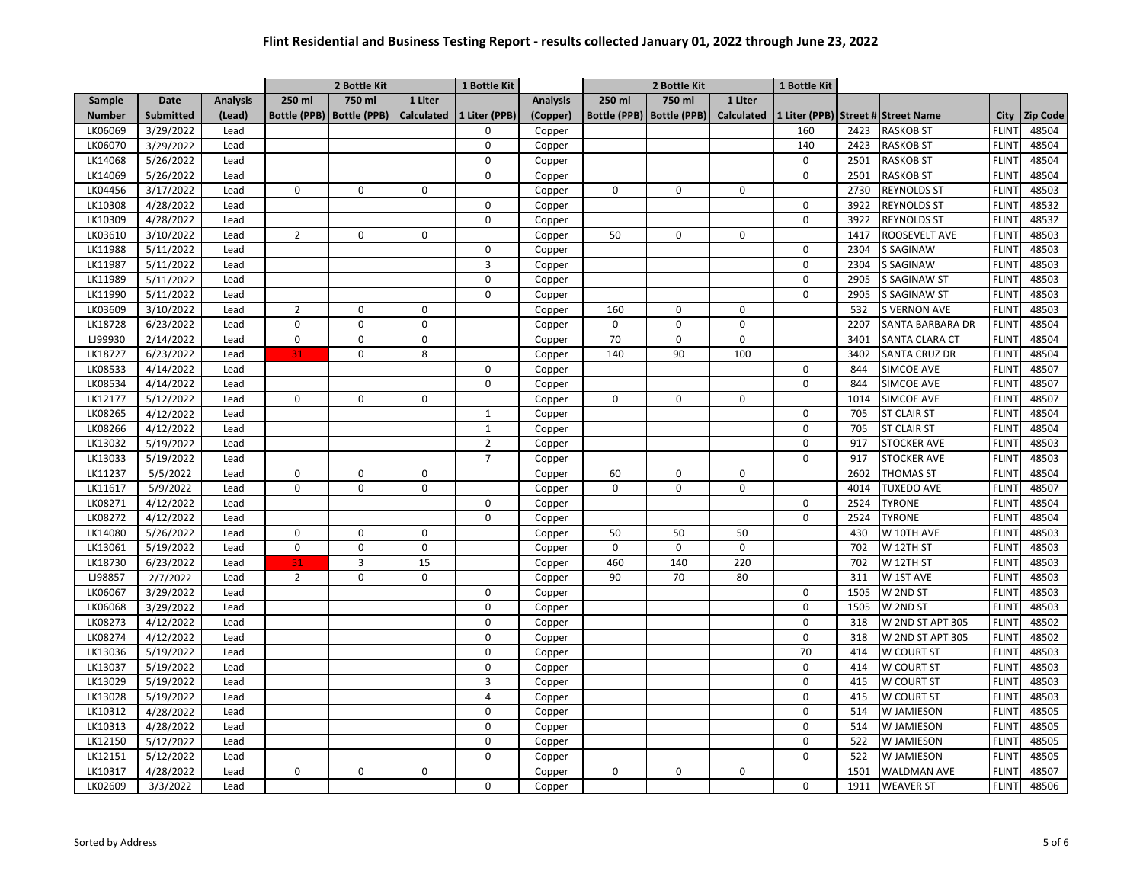|               |                  |                 | 2 Bottle Kit        |                         |                   | 1 Bottle Kit   |                 | 2 Bottle Kit        |                     |             | 1 Bottle Kit |      |                                    |              |                 |
|---------------|------------------|-----------------|---------------------|-------------------------|-------------------|----------------|-----------------|---------------------|---------------------|-------------|--------------|------|------------------------------------|--------------|-----------------|
| <b>Sample</b> | <b>Date</b>      | <b>Analysis</b> | 250 ml              | 750 ml                  | 1 Liter           |                | <b>Analysis</b> | 250 ml              | 750 ml              | 1 Liter     |              |      |                                    |              |                 |
| <b>Number</b> | <b>Submitted</b> | (Lead)          | <b>Bottle (PPB)</b> | <b>Bottle (PPB)</b>     | <b>Calculated</b> | 1 Liter (PPB)  | (Copper)        | <b>Bottle (PPB)</b> | <b>Bottle (PPB)</b> | Calculated  |              |      | 1 Liter (PPB) Street # Street Name | <b>City</b>  | <b>Zip Code</b> |
| LK06069       | 3/29/2022        | Lead            |                     |                         |                   | 0              | Copper          |                     |                     |             | 160          | 2423 | <b>RASKOB ST</b>                   | <b>FLINT</b> | 48504           |
| LK06070       | 3/29/2022        | Lead            |                     |                         |                   | $\mathbf 0$    | Copper          |                     |                     |             | 140          | 2423 | <b>RASKOB ST</b>                   | <b>FLINT</b> | 48504           |
| LK14068       | 5/26/2022        | Lead            |                     |                         |                   | $\mathsf 0$    | Copper          |                     |                     |             | 0            | 2501 | <b>RASKOB ST</b>                   | <b>FLINT</b> | 48504           |
| LK14069       | 5/26/2022        | Lead            |                     |                         |                   | $\mathbf 0$    | Copper          |                     |                     |             | 0            | 2501 | <b>RASKOB ST</b>                   | <b>FLINT</b> | 48504           |
| LK04456       | 3/17/2022        | Lead            | $\mathbf 0$         | $\mathbf 0$             | $\mathbf 0$       |                | Copper          | 0                   | 0                   | 0           |              | 2730 | <b>REYNOLDS ST</b>                 | <b>FLINT</b> | 48503           |
| LK10308       | 4/28/2022        | Lead            |                     |                         |                   | $\mathsf 0$    | Copper          |                     |                     |             | 0            | 3922 | <b>REYNOLDS ST</b>                 | <b>FLINT</b> | 48532           |
| LK10309       | 4/28/2022        | Lead            |                     |                         |                   | $\mathbf 0$    | Copper          |                     |                     |             | 0            | 3922 | <b>REYNOLDS ST</b>                 | <b>FLINT</b> | 48532           |
| LK03610       | 3/10/2022        | Lead            | $\overline{2}$      | $\mathbf 0$             | $\mathbf 0$       |                | Copper          | 50                  | 0                   | 0           |              | 1417 | ROOSEVELT AVE                      | <b>FLINT</b> | 48503           |
| LK11988       | 5/11/2022        | Lead            |                     |                         |                   | $\mathsf 0$    | Copper          |                     |                     |             | 0            | 2304 | <b>S SAGINAW</b>                   | <b>FLINT</b> | 48503           |
| LK11987       | 5/11/2022        | Lead            |                     |                         |                   | 3              | Copper          |                     |                     |             | 0            | 2304 | S SAGINAW                          | <b>FLINT</b> | 48503           |
| LK11989       | 5/11/2022        | Lead            |                     |                         |                   | $\mathbf 0$    | Copper          |                     |                     |             | 0            | 2905 | <b>S SAGINAW ST</b>                | <b>FLINT</b> | 48503           |
| LK11990       | 5/11/2022        | Lead            |                     |                         |                   | $\mathbf 0$    | Copper          |                     |                     |             | 0            | 2905 | <b>S SAGINAW ST</b>                | <b>FLINT</b> | 48503           |
| LK03609       | 3/10/2022        | Lead            | $\overline{2}$      | $\mathbf 0$             | $\mathbf 0$       |                | Copper          | 160                 | 0                   | $\mathbf 0$ |              | 532  | <b>S VERNON AVE</b>                | <b>FLINT</b> | 48503           |
| LK18728       | 6/23/2022        | Lead            | $\mathbf 0$         | $\mathbf 0$             | $\mathbf 0$       |                | Copper          | 0                   | 0                   | $\mathbf 0$ |              | 2207 | SANTA BARBARA DR                   | <b>FLINT</b> | 48504           |
| LJ99930       | 2/14/2022        | Lead            | $\mathsf 0$         | $\mathbf 0$             | $\mathbf 0$       |                | Copper          | 70                  | 0                   | 0           |              | 3401 | SANTA CLARA CT                     | <b>FLINT</b> | 48504           |
| LK18727       | 6/23/2022        | Lead            | 31                  | $\Omega$                | 8                 |                | Copper          | 140                 | 90                  | 100         |              | 3402 | SANTA CRUZ DR                      | <b>FLINT</b> | 48504           |
| LK08533       | 4/14/2022        | Lead            |                     |                         |                   | $\mathbf 0$    | Copper          |                     |                     |             | 0            | 844  | SIMCOE AVE                         | <b>FLINT</b> | 48507           |
| LK08534       | 4/14/2022        | Lead            |                     |                         |                   | $\mathbf 0$    | Copper          |                     |                     |             | 0            | 844  | SIMCOE AVE                         | <b>FLINT</b> | 48507           |
| LK12177       | 5/12/2022        | Lead            | 0                   | $\Omega$                | 0                 |                | Copper          | $\Omega$            | $\Omega$            | 0           |              | 1014 | SIMCOE AVE                         | <b>FLINT</b> | 48507           |
| LK08265       | 4/12/2022        | Lead            |                     |                         |                   | $\mathbf{1}$   | Copper          |                     |                     |             | 0            | 705  | <b>ST CLAIR ST</b>                 | <b>FLINT</b> | 48504           |
| LK08266       | 4/12/2022        | Lead            |                     |                         |                   | $\mathbf{1}$   | Copper          |                     |                     |             | 0            | 705  | <b>ST CLAIR ST</b>                 | <b>FLINT</b> | 48504           |
| LK13032       | 5/19/2022        | Lead            |                     |                         |                   | $\overline{2}$ | Copper          |                     |                     |             | 0            | 917  | <b>STOCKER AVE</b>                 | <b>FLINT</b> | 48503           |
| LK13033       | 5/19/2022        | Lead            |                     |                         |                   | $\overline{7}$ | Copper          |                     |                     |             | 0            | 917  | <b>STOCKER AVE</b>                 | <b>FLINT</b> | 48503           |
| LK11237       | 5/5/2022         | Lead            | $\mathbf 0$         | $\mathbf 0$             | $\mathbf 0$       |                | Copper          | 60                  | 0                   | 0           |              | 2602 | <b>THOMAS ST</b>                   | <b>FLINT</b> | 48504           |
| LK11617       | 5/9/2022         | Lead            | $\Omega$            | $\Omega$                | $\mathbf 0$       |                | Copper          | $\Omega$            | $\Omega$            | $\Omega$    |              | 4014 | <b>TUXEDO AVE</b>                  | <b>FLINT</b> | 48507           |
| LK08271       | 4/12/2022        | Lead            |                     |                         |                   | $\mathbf 0$    | Copper          |                     |                     |             | 0            | 2524 | <b>TYRONE</b>                      | <b>FLINT</b> | 48504           |
| LK08272       | 4/12/2022        | Lead            |                     |                         |                   | $\mathbf 0$    | Copper          |                     |                     |             | 0            | 2524 | <b>TYRONE</b>                      | <b>FLINT</b> | 48504           |
| LK14080       | 5/26/2022        | Lead            | 0                   | $\mathbf 0$             | 0                 |                | Copper          | 50                  | 50                  | 50          |              | 430  | W 10TH AVE                         | <b>FLINT</b> | 48503           |
| LK13061       | 5/19/2022        | Lead            | $\mathbf 0$         | $\mathbf 0$             | $\pmb{0}$         |                | Copper          | $\mathbf 0$         | $\mathbf 0$         | $\mathbf 0$ |              | 702  | W 12TH ST                          | <b>FLINT</b> | 48503           |
| LK18730       | 6/23/2022        | Lead            | 51                  | $\overline{\mathbf{3}}$ | 15                |                | Copper          | 460                 | 140                 | 220         |              | 702  | W 12TH ST                          | <b>FLINT</b> | 48503           |
| LJ98857       | 2/7/2022         | Lead            | $\overline{2}$      | $\mathbf 0$             | $\mathbf 0$       |                | Copper          | 90                  | 70                  | 80          |              | 311  | W 1ST AVE                          | <b>FLINT</b> | 48503           |
| LK06067       | 3/29/2022        | Lead            |                     |                         |                   | $\mathsf 0$    | Copper          |                     |                     |             | 0            | 1505 | W 2ND ST                           | <b>FLINT</b> | 48503           |
| LK06068       | 3/29/2022        | Lead            |                     |                         |                   | $\mathsf 0$    | Copper          |                     |                     |             | 0            | 1505 | W 2ND ST                           | <b>FLINT</b> | 48503           |
| LK08273       | 4/12/2022        | Lead            |                     |                         |                   | $\mathbf 0$    | Copper          |                     |                     |             | 0            | 318  | W 2ND ST APT 305                   | <b>FLINT</b> | 48502           |
| LK08274       | 4/12/2022        | Lead            |                     |                         |                   | 0              | Copper          |                     |                     |             | 0            | 318  | W 2ND ST APT 305                   | <b>FLINT</b> | 48502           |
| LK13036       | 5/19/2022        | Lead            |                     |                         |                   | $\mathbf 0$    | Copper          |                     |                     |             | 70           | 414  | W COURT ST                         | <b>FLINT</b> | 48503           |
| LK13037       | 5/19/2022        | Lead            |                     |                         |                   | 0              | Copper          |                     |                     |             | 0            | 414  | W COURT ST                         | <b>FLINT</b> | 48503           |
| LK13029       | 5/19/2022        | Lead            |                     |                         |                   | $\overline{3}$ | Copper          |                     |                     |             | 0            | 415  | W COURT ST                         | <b>FLINT</b> | 48503           |
| LK13028       | 5/19/2022        | Lead            |                     |                         |                   | $\overline{4}$ | Copper          |                     |                     |             | 0            | 415  | W COURT ST                         | <b>FLINT</b> | 48503           |
| LK10312       | 4/28/2022        | Lead            |                     |                         |                   | $\mathbf 0$    | Copper          |                     |                     |             | 0            | 514  | W JAMIESON                         | <b>FLINT</b> | 48505           |
| LK10313       | 4/28/2022        | Lead            |                     |                         |                   | $\mathbf 0$    | Copper          |                     |                     |             | 0            | 514  | W JAMIESON                         | <b>FLINT</b> | 48505           |
| LK12150       | 5/12/2022        | Lead            |                     |                         |                   | 0              | Copper          |                     |                     |             | 0            | 522  | W JAMIESON                         | <b>FLINT</b> | 48505           |
| LK12151       | 5/12/2022        | Lead            |                     |                         |                   | 0              | Copper          |                     |                     |             | 0            | 522  | W JAMIESON                         | <b>FLINT</b> | 48505           |
| LK10317       | 4/28/2022        | Lead            | 0                   | $\mathbf 0$             | $\mathbf 0$       |                | Copper          | 0                   | 0                   | 0           |              | 1501 | <b>WALDMAN AVE</b>                 | <b>FLINT</b> | 48507           |
| LK02609       | 3/3/2022         | Lead            |                     |                         |                   | 0              | Copper          |                     |                     |             | 0            | 1911 | <b>WEAVER ST</b>                   | <b>FLINT</b> | 48506           |